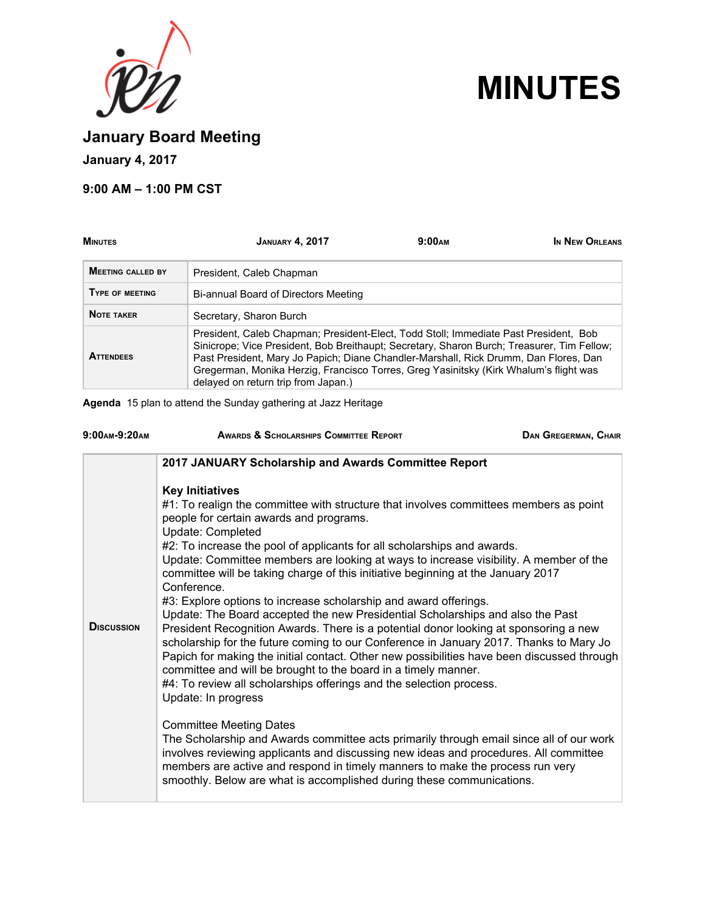



**January Board Meeting**

**January 4, 2017**

## **9:00 AM – 1:00 PM CST**

| <b>MINUTES</b>           | <b>JANUARY 4, 2017</b>                                                                                                                                                                                                                                                                                                                                                                                     | 9:00 <sub>AM</sub> | IN NEW ORLEANS |
|--------------------------|------------------------------------------------------------------------------------------------------------------------------------------------------------------------------------------------------------------------------------------------------------------------------------------------------------------------------------------------------------------------------------------------------------|--------------------|----------------|
| <b>MEETING CALLED BY</b> | President, Caleb Chapman                                                                                                                                                                                                                                                                                                                                                                                   |                    |                |
| <b>TYPE OF MEETING</b>   | Bi-annual Board of Directors Meeting                                                                                                                                                                                                                                                                                                                                                                       |                    |                |
| <b>NOTE TAKER</b>        | Secretary, Sharon Burch                                                                                                                                                                                                                                                                                                                                                                                    |                    |                |
| <b>ATTENDEES</b>         | President, Caleb Chapman; President-Elect, Todd Stoll; Immediate Past President, Bob<br>Sinicrope; Vice President, Bob Breithaupt; Secretary, Sharon Burch; Treasurer, Tim Fellow;<br>Past President, Mary Jo Papich; Diane Chandler-Marshall, Rick Drumm, Dan Flores, Dan<br>Gregerman, Monika Herzig, Francisco Torres, Greg Yasinitsky (Kirk Whalum's flight was<br>delayed on return trip from Japan.) |                    |                |

**Agenda** 15 plan to attend the Sunday gathering at Jazz Heritage

| 9:00 AM-9:20 AM   | <b>AWARDS &amp; SCHOLARSHIPS COMMITTEE REPORT</b>                                                                                                                                                                                                                                                                                                                                                                                                                                                                                                                                                                                                                                                                                                                                                                                                                                                                                                                                                                                                            | <b>DAN GREGERMAN, CHAIR</b> |
|-------------------|--------------------------------------------------------------------------------------------------------------------------------------------------------------------------------------------------------------------------------------------------------------------------------------------------------------------------------------------------------------------------------------------------------------------------------------------------------------------------------------------------------------------------------------------------------------------------------------------------------------------------------------------------------------------------------------------------------------------------------------------------------------------------------------------------------------------------------------------------------------------------------------------------------------------------------------------------------------------------------------------------------------------------------------------------------------|-----------------------------|
|                   | 2017 JANUARY Scholarship and Awards Committee Report                                                                                                                                                                                                                                                                                                                                                                                                                                                                                                                                                                                                                                                                                                                                                                                                                                                                                                                                                                                                         |                             |
| <b>DISCUSSION</b> | <b>Key Initiatives</b><br>#1: To realign the committee with structure that involves committees members as point<br>people for certain awards and programs.<br>Update: Completed<br>#2: To increase the pool of applicants for all scholarships and awards.<br>Update: Committee members are looking at ways to increase visibility. A member of the<br>committee will be taking charge of this initiative beginning at the January 2017<br>Conference.<br>#3: Explore options to increase scholarship and award offerings.<br>Update: The Board accepted the new Presidential Scholarships and also the Past<br>President Recognition Awards. There is a potential donor looking at sponsoring a new<br>scholarship for the future coming to our Conference in January 2017. Thanks to Mary Jo<br>Papich for making the initial contact. Other new possibilities have been discussed through<br>committee and will be brought to the board in a timely manner.<br>#4: To review all scholarships offerings and the selection process.<br>Update: In progress |                             |
|                   | <b>Committee Meeting Dates</b><br>The Scholarship and Awards committee acts primarily through email since all of our work<br>involves reviewing applicants and discussing new ideas and procedures. All committee<br>members are active and respond in timely manners to make the process run very<br>smoothly. Below are what is accomplished during these communications.                                                                                                                                                                                                                                                                                                                                                                                                                                                                                                                                                                                                                                                                                  |                             |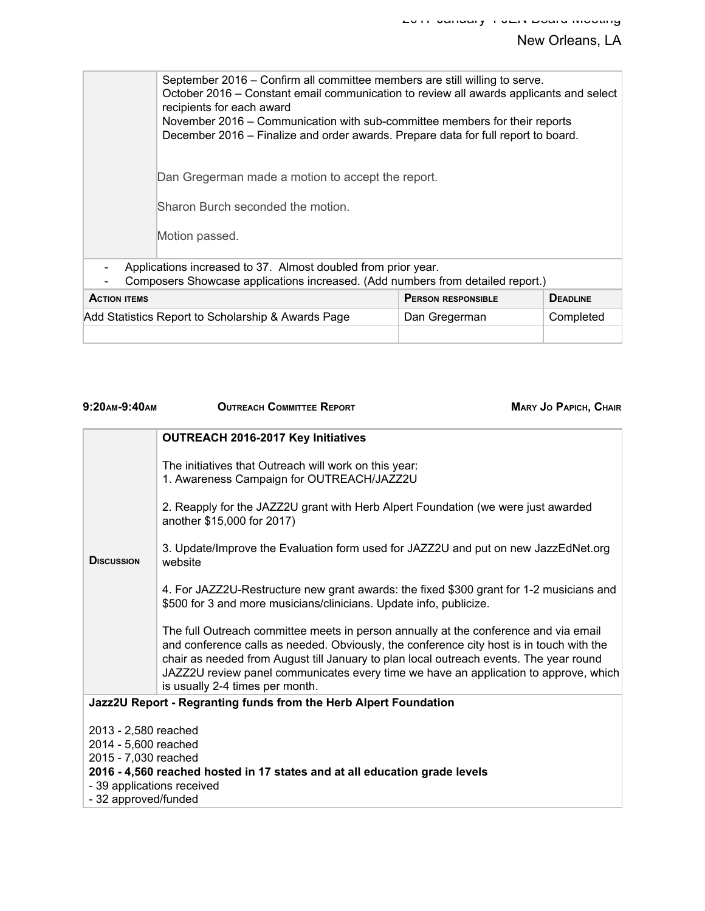## New Orleans, LA

September 2016 – Confirm all committee members are still willing to serve. October 2016 – Constant email communication to review all awards applicants and select recipients for each award November 2016 – Communication with sub-committee members for their reports December 2016 – Finalize and order awards. Prepare data for full report to board. Dan Gregerman made a motion to accept the report. Sharon Burch seconded the motion. Motion passed. - Applications increased to 37. Almost doubled from prior year. - Composers Showcase applications increased. (Add numbers from detailed report.) **ACTION ITEMS PERSON RESPONSIBLE DEADLINE** Add Statistics Report to Scholarship & Awards Page | Dan Gregerman | Completed

| 9:20AM-9:40AM<br><b>OUTREACH COMMITTEE REPORT</b>                                                                                                                                                                                                                                                                                                                                                     | <b>MARY JO PAPICH, CHAIR</b> |  |
|-------------------------------------------------------------------------------------------------------------------------------------------------------------------------------------------------------------------------------------------------------------------------------------------------------------------------------------------------------------------------------------------------------|------------------------------|--|
| OUTREACH 2016-2017 Key Initiatives                                                                                                                                                                                                                                                                                                                                                                    |                              |  |
| The initiatives that Outreach will work on this year:<br>1. Awareness Campaign for OUTREACH/JAZZ2U                                                                                                                                                                                                                                                                                                    |                              |  |
| 2. Reapply for the JAZZ2U grant with Herb Alpert Foundation (we were just awarded<br>another \$15,000 for 2017)                                                                                                                                                                                                                                                                                       |                              |  |
| 3. Update/Improve the Evaluation form used for JAZZ2U and put on new JazzEdNet.org<br><b>DISCUSSION</b><br>website                                                                                                                                                                                                                                                                                    |                              |  |
| 4. For JAZZ2U-Restructure new grant awards: the fixed \$300 grant for 1-2 musicians and<br>\$500 for 3 and more musicians/clinicians. Update info, publicize.                                                                                                                                                                                                                                         |                              |  |
| The full Outreach committee meets in person annually at the conference and via email<br>and conference calls as needed. Obviously, the conference city host is in touch with the<br>chair as needed from August till January to plan local outreach events. The year round<br>JAZZ2U review panel communicates every time we have an application to approve, which<br>is usually 2-4 times per month. |                              |  |
| Jazz2U Report - Regranting funds from the Herb Alpert Foundation                                                                                                                                                                                                                                                                                                                                      |                              |  |
| 2013 - 2,580 reached                                                                                                                                                                                                                                                                                                                                                                                  |                              |  |
| 2014 - 5,600 reached                                                                                                                                                                                                                                                                                                                                                                                  |                              |  |
| 2015 - 7,030 reached                                                                                                                                                                                                                                                                                                                                                                                  |                              |  |
| 2016 - 4,560 reached hosted in 17 states and at all education grade levels<br>- 39 applications received                                                                                                                                                                                                                                                                                              |                              |  |
| - 32 approved/funded                                                                                                                                                                                                                                                                                                                                                                                  |                              |  |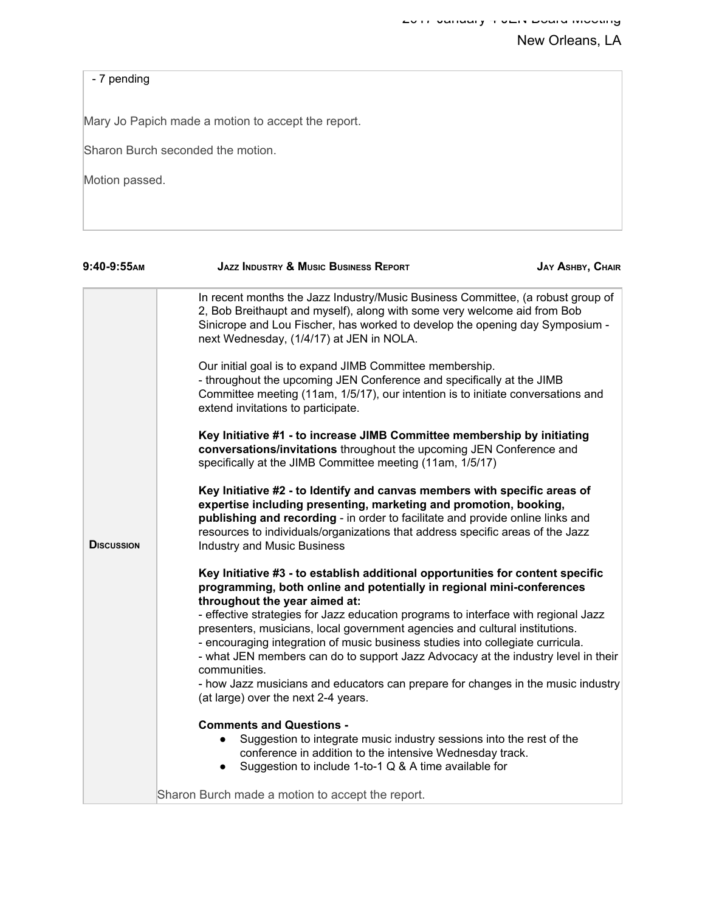## - 7 pending

Mary Jo Papich made a motion to accept the report.

Sharon Burch seconded the motion.

Motion passed.

| $9:40-9:55$ AM    | <b>JAZZ INDUSTRY &amp; MUSIC BUSINESS REPORT</b>                                                                                                                                                                                                                                                                                                              | <b>JAY ASHBY, CHAIR</b> |
|-------------------|---------------------------------------------------------------------------------------------------------------------------------------------------------------------------------------------------------------------------------------------------------------------------------------------------------------------------------------------------------------|-------------------------|
|                   | In recent months the Jazz Industry/Music Business Committee, (a robust group of<br>2, Bob Breithaupt and myself), along with some very welcome aid from Bob<br>Sinicrope and Lou Fischer, has worked to develop the opening day Symposium -<br>next Wednesday, (1/4/17) at JEN in NOLA.                                                                       |                         |
|                   | Our initial goal is to expand JIMB Committee membership.<br>- throughout the upcoming JEN Conference and specifically at the JIMB<br>Committee meeting (11am, 1/5/17), our intention is to initiate conversations and<br>extend invitations to participate.                                                                                                   |                         |
|                   | Key Initiative #1 - to increase JIMB Committee membership by initiating<br>conversations/invitations throughout the upcoming JEN Conference and<br>specifically at the JIMB Committee meeting (11am, 1/5/17)                                                                                                                                                  |                         |
| <b>DISCUSSION</b> | Key Initiative #2 - to Identify and canvas members with specific areas of<br>expertise including presenting, marketing and promotion, booking,<br>publishing and recording - in order to facilitate and provide online links and<br>resources to individuals/organizations that address specific areas of the Jazz<br><b>Industry and Music Business</b>      |                         |
|                   | Key Initiative #3 - to establish additional opportunities for content specific<br>programming, both online and potentially in regional mini-conferences<br>throughout the year aimed at:<br>- effective strategies for Jazz education programs to interface with regional Jazz<br>presenters, musicians, local government agencies and cultural institutions. |                         |
|                   | - encouraging integration of music business studies into collegiate curricula.<br>- what JEN members can do to support Jazz Advocacy at the industry level in their<br>communities.<br>- how Jazz musicians and educators can prepare for changes in the music industry                                                                                       |                         |
|                   | (at large) over the next 2-4 years.                                                                                                                                                                                                                                                                                                                           |                         |
|                   | <b>Comments and Questions -</b><br>Suggestion to integrate music industry sessions into the rest of the<br>conference in addition to the intensive Wednesday track.<br>Suggestion to include 1-to-1 Q & A time available for<br>$\bullet$                                                                                                                     |                         |
|                   | Sharon Burch made a motion to accept the report.                                                                                                                                                                                                                                                                                                              |                         |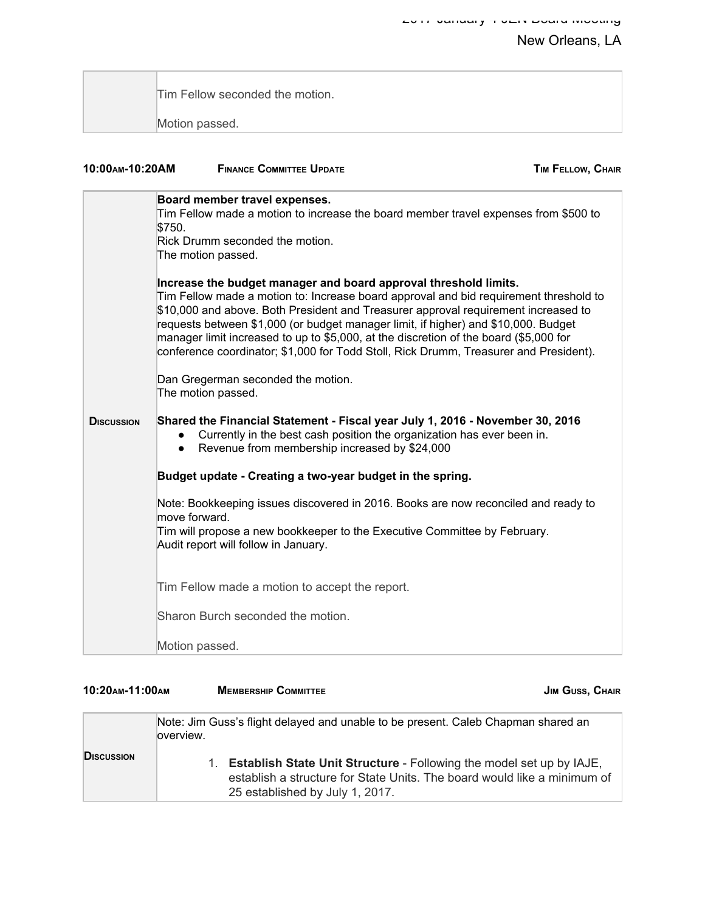| Tim Fellow seconded the motion. |
|---------------------------------|
|                                 |
| Motion passed.                  |

| 10:00 AM-10:20 AM | <b>FINANCE COMMITTEE UPDATE</b>                                                                                                                                                                                                                                                                                                                                                                                                                                                                                         | <b>TIM FELLOW, CHAIR</b> |
|-------------------|-------------------------------------------------------------------------------------------------------------------------------------------------------------------------------------------------------------------------------------------------------------------------------------------------------------------------------------------------------------------------------------------------------------------------------------------------------------------------------------------------------------------------|--------------------------|
|                   | Board member travel expenses.<br>Tim Fellow made a motion to increase the board member travel expenses from \$500 to<br>\$750.<br>Rick Drumm seconded the motion.<br>The motion passed.                                                                                                                                                                                                                                                                                                                                 |                          |
|                   | Increase the budget manager and board approval threshold limits.<br>Tim Fellow made a motion to: Increase board approval and bid requirement threshold to<br>\$10,000 and above. Both President and Treasurer approval requirement increased to<br>requests between \$1,000 (or budget manager limit, if higher) and \$10,000. Budget<br>manager limit increased to up to \$5,000, at the discretion of the board (\$5,000 for<br>conference coordinator; \$1,000 for Todd Stoll, Rick Drumm, Treasurer and President). |                          |
|                   | Dan Gregerman seconded the motion.<br>The motion passed.                                                                                                                                                                                                                                                                                                                                                                                                                                                                |                          |
| <b>DISCUSSION</b> | Shared the Financial Statement - Fiscal year July 1, 2016 - November 30, 2016<br>Currently in the best cash position the organization has ever been in.<br>Revenue from membership increased by \$24,000<br>$\bullet$                                                                                                                                                                                                                                                                                                   |                          |
|                   | Budget update - Creating a two-year budget in the spring.                                                                                                                                                                                                                                                                                                                                                                                                                                                               |                          |
|                   | Note: Bookkeeping issues discovered in 2016. Books are now reconciled and ready to<br>move forward.<br>Tim will propose a new bookkeeper to the Executive Committee by February.<br>Audit report will follow in January.                                                                                                                                                                                                                                                                                                |                          |
|                   | Tim Fellow made a motion to accept the report.                                                                                                                                                                                                                                                                                                                                                                                                                                                                          |                          |
|                   | Sharon Burch seconded the motion.                                                                                                                                                                                                                                                                                                                                                                                                                                                                                       |                          |
|                   | Motion passed.                                                                                                                                                                                                                                                                                                                                                                                                                                                                                                          |                          |

| 10:20 AM-11:00 AM  |            | <b>MEMBERSHIP COMMITTEE</b>                                                                                                                                                                                                                                                           | <b>JIM GUSS, CHAIR</b> |
|--------------------|------------|---------------------------------------------------------------------------------------------------------------------------------------------------------------------------------------------------------------------------------------------------------------------------------------|------------------------|
| <b>D</b> ISCUSSION | loverview. | Note: Jim Guss's flight delayed and unable to be present. Caleb Chapman shared an<br><b>Establish State Unit Structure - Following the model set up by IAJE,</b><br>1.<br>establish a structure for State Units. The board would like a minimum of<br>25 established by July 1, 2017. |                        |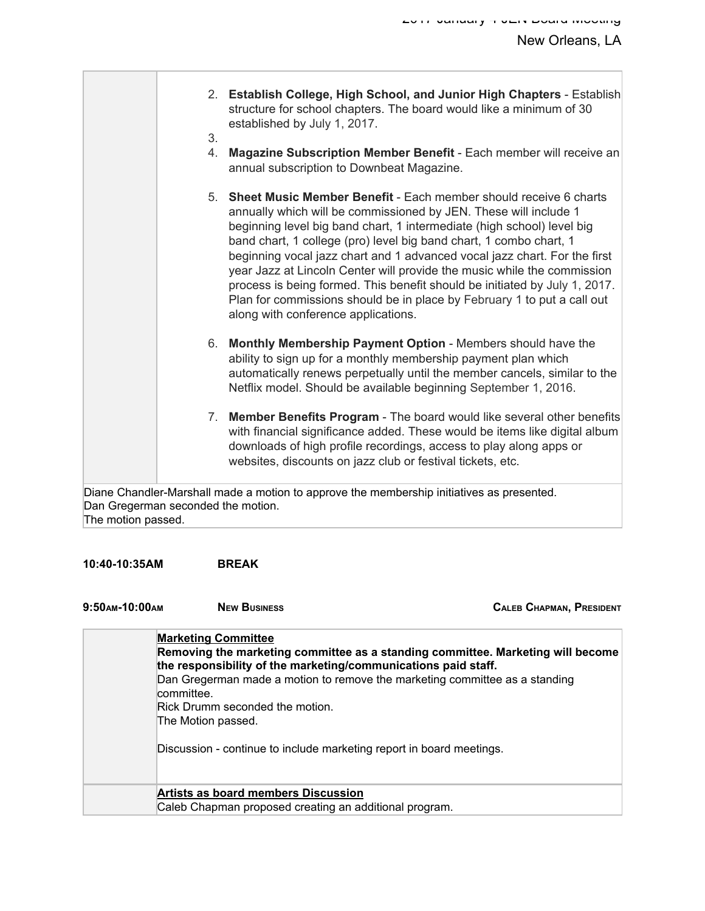- 2. **Establish College, High School, and Junior High Chapters** Establish structure for school chapters. The board would like a minimum of 30 established by July 1, 2017.
- 3.
- 4. **Magazine Subscription Member Benefit** Each member will receive an annual subscription to Downbeat Magazine.
- 5. **Sheet Music Member Benefit** Each member should receive 6 charts annually which will be commissioned by JEN. These will include 1 beginning level big band chart, 1 intermediate (high school) level big band chart, 1 college (pro) level big band chart, 1 combo chart, 1 beginning vocal jazz chart and 1 advanced vocal jazz chart. For the first year Jazz at Lincoln Center will provide the music while the commission process is being formed. This benefit should be initiated by July 1, 2017. Plan for commissions should be in place by February 1 to put a call out along with conference applications.
- 6. **Monthly Membership Payment Option** Members should have the ability to sign up for a monthly membership payment plan which automatically renews perpetually until the member cancels, similar to the Netflix model. Should be available beginning September 1, 2016.
- 7. **Member Benefits Program** The board would like several other benefits with financial significance added. These would be items like digital album downloads of high profile recordings, access to play along apps or websites, discounts on jazz club or festival tickets, etc.

Diane Chandler-Marshall made a motion to approve the membership initiatives as presented. Dan Gregerman seconded the motion. The motion passed.

#### **10:40-10:35AM BREAK**

**9:50AM-10:00AM NEW BUSINESS CALEB CHAPMAN, PRESIDENT**

| <b>Marketing Committee</b><br>Removing the marketing committee as a standing committee. Marketing will become<br>the responsibility of the marketing/communications paid staff.<br>Dan Gregerman made a motion to remove the marketing committee as a standing<br>committee.<br>Rick Drumm seconded the motion.<br>The Motion passed.<br>Discussion - continue to include marketing report in board meetings. |
|---------------------------------------------------------------------------------------------------------------------------------------------------------------------------------------------------------------------------------------------------------------------------------------------------------------------------------------------------------------------------------------------------------------|
| Artists as board members Discussion<br>Caleb Chapman proposed creating an additional program.                                                                                                                                                                                                                                                                                                                 |